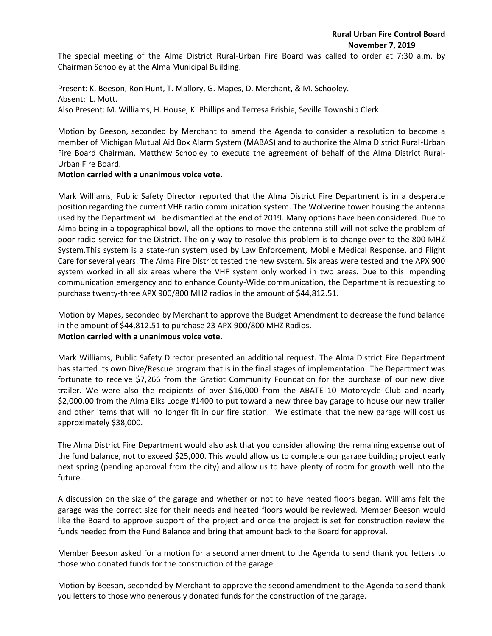The special meeting of the Alma District Rural-Urban Fire Board was called to order at 7:30 a.m. by Chairman Schooley at the Alma Municipal Building.

Present: K. Beeson, Ron Hunt, T. Mallory, G. Mapes, D. Merchant, & M. Schooley. Absent: L. Mott. Also Present: M. Williams, H. House, K. Phillips and Terresa Frisbie, Seville Township Clerk.

Motion by Beeson, seconded by Merchant to amend the Agenda to consider a resolution to become a member of Michigan Mutual Aid Box Alarm System (MABAS) and to authorize the Alma District Rural-Urban Fire Board Chairman, Matthew Schooley to execute the agreement of behalf of the Alma District Rural-Urban Fire Board.

## **Motion carried with a unanimous voice vote.**

Mark Williams, Public Safety Director reported that the Alma District Fire Department is in a desperate position regarding the current VHF radio communication system. The Wolverine tower housing the antenna used by the Department will be dismantled at the end of 2019. Many options have been considered. Due to Alma being in a topographical bowl, all the options to move the antenna still will not solve the problem of poor radio service for the District. The only way to resolve this problem is to change over to the 800 MHZ System.This system is a state-run system used by Law Enforcement, Mobile Medical Response, and Flight Care for several years. The Alma Fire District tested the new system. Six areas were tested and the APX 900 system worked in all six areas where the VHF system only worked in two areas. Due to this impending communication emergency and to enhance County-Wide communication, the Department is requesting to purchase twenty-three APX 900/800 MHZ radios in the amount of \$44,812.51.

Motion by Mapes, seconded by Merchant to approve the Budget Amendment to decrease the fund balance in the amount of \$44,812.51 to purchase 23 APX 900/800 MHZ Radios. **Motion carried with a unanimous voice vote.**

Mark Williams, Public Safety Director presented an additional request. The Alma District Fire Department has started its own Dive/Rescue program that is in the final stages of implementation. The Department was fortunate to receive \$7,266 from the Gratiot Community Foundation for the purchase of our new dive trailer. We were also the recipients of over \$16,000 from the ABATE 10 Motorcycle Club and nearly \$2,000.00 from the Alma Elks Lodge #1400 to put toward a new three bay garage to house our new trailer and other items that will no longer fit in our fire station. We estimate that the new garage will cost us approximately \$38,000.

The Alma District Fire Department would also ask that you consider allowing the remaining expense out of the fund balance, not to exceed \$25,000. This would allow us to complete our garage building project early next spring (pending approval from the city) and allow us to have plenty of room for growth well into the future.

A discussion on the size of the garage and whether or not to have heated floors began. Williams felt the garage was the correct size for their needs and heated floors would be reviewed. Member Beeson would like the Board to approve support of the project and once the project is set for construction review the funds needed from the Fund Balance and bring that amount back to the Board for approval.

Member Beeson asked for a motion for a second amendment to the Agenda to send thank you letters to those who donated funds for the construction of the garage.

Motion by Beeson, seconded by Merchant to approve the second amendment to the Agenda to send thank you letters to those who generously donated funds for the construction of the garage.